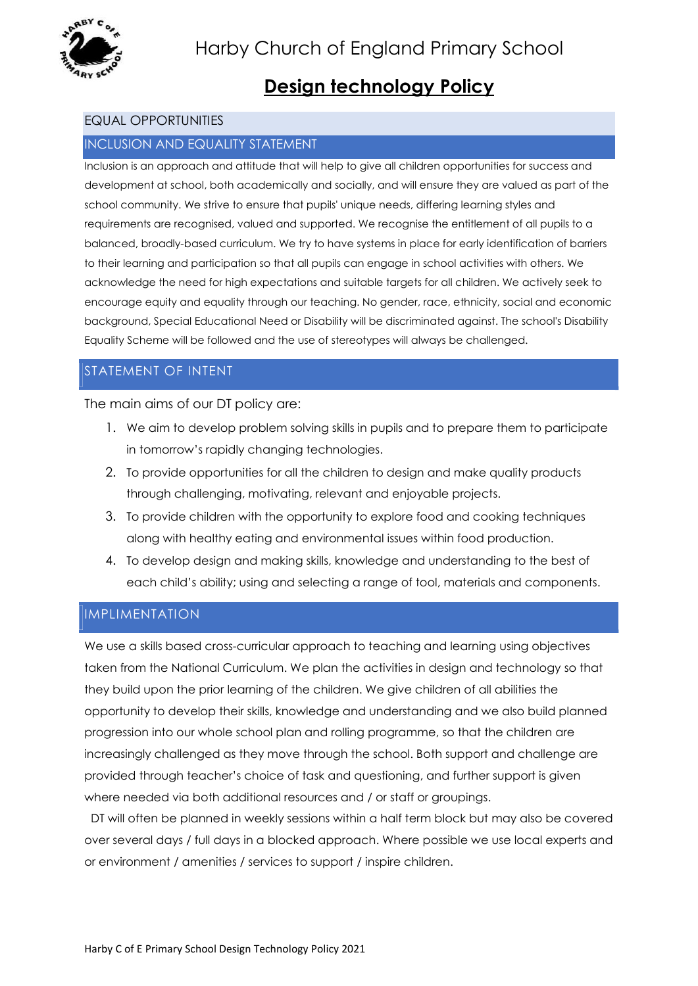

# Design technology Policy

### EQUAL OPPORTUNITIES

#### INCLUSION AND EQUALITY STATEMENT

Inclusion is an approach and attitude that will help to give all children opportunities for success and development at school, both academically and socially, and will ensure they are valued as part of the school community. We strive to ensure that pupils' unique needs, differing learning styles and requirements are recognised, valued and supported. We recognise the entitlement of all pupils to a balanced, broadly-based curriculum. We try to have systems in place for early identification of barriers to their learning and participation so that all pupils can engage in school activities with others. We acknowledge the need for high expectations and suitable targets for all children. We actively seek to encourage equity and equality through our teaching. No gender, race, ethnicity, social and economic background, Special Educational Need or Disability will be discriminated against. The school's Disability Equality Scheme will be followed and the use of stereotypes will always be challenged.

## STATEMENT OF INTENT

The main aims of our DT policy are:

- 1. We aim to develop problem solving skills in pupils and to prepare them to participate in tomorrow's rapidly changing technologies.
- 2. To provide opportunities for all the children to design and make quality products through challenging, motivating, relevant and enjoyable projects.
- 3. To provide children with the opportunity to explore food and cooking techniques along with healthy eating and environmental issues within food production.
- 4. To develop design and making skills, knowledge and understanding to the best of each child's ability; using and selecting a range of tool, materials and components.

## IMPLIMENTATION

We use a skills based cross-curricular approach to teaching and learning using objectives taken from the National Curriculum. We plan the activities in design and technology so that they build upon the prior learning of the children. We give children of all abilities the opportunity to develop their skills, knowledge and understanding and we also build planned progression into our whole school plan and rolling programme, so that the children are increasingly challenged as they move through the school. Both support and challenge are provided through teacher's choice of task and questioning, and further support is given where needed via both additional resources and / or staff or groupings.

 DT will often be planned in weekly sessions within a half term block but may also be covered over several days / full days in a blocked approach. Where possible we use local experts and or environment / amenities / services to support / inspire children.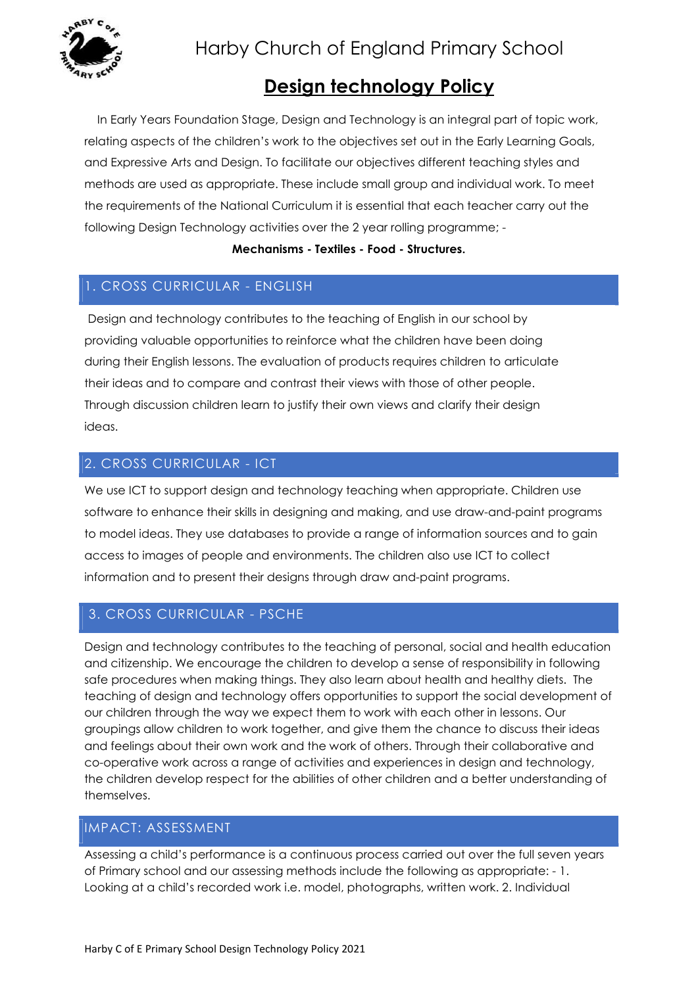

# Harby Church of England Primary School

## Design technology Policy

 In Early Years Foundation Stage, Design and Technology is an integral part of topic work, relating aspects of the children's work to the objectives set out in the Early Learning Goals, and Expressive Arts and Design. To facilitate our objectives different teaching styles and methods are used as appropriate. These include small group and individual work. To meet the requirements of the National Curriculum it is essential that each teacher carry out the following Design Technology activities over the 2 year rolling programme; -

#### Mechanisms - Textiles - Food - Structures.

## 1. CROSS CURRICULAR - ENGLISH

Design and technology contributes to the teaching of English in our school by providing valuable opportunities to reinforce what the children have been doing during their English lessons. The evaluation of products requires children to articulate their ideas and to compare and contrast their views with those of other people. Through discussion children learn to justify their own views and clarify their design ideas.

## 2. CROSS CURRICULAR - ICT

We use ICT to support design and technology teaching when appropriate. Children use software to enhance their skills in designing and making, and use draw-and-paint programs to model ideas. They use databases to provide a range of information sources and to gain access to images of people and environments. The children also use ICT to collect information and to present their designs through draw and-paint programs.

## 3. CROSS CURRICULAR - PSCHE

Design and technology contributes to the teaching of personal, social and health education and citizenship. We encourage the children to develop a sense of responsibility in following safe procedures when making things. They also learn about health and healthy diets. The teaching of design and technology offers opportunities to support the social development of our children through the way we expect them to work with each other in lessons. Our groupings allow children to work together, and give them the chance to discuss their ideas and feelings about their own work and the work of others. Through their collaborative and co-operative work across a range of activities and experiences in design and technology, the children develop respect for the abilities of other children and a better understanding of themselves.

### IMPACT: ASSESSMENT

Assessing a child's performance is a continuous process carried out over the full seven years of Primary school and our assessing methods include the following as appropriate: - 1. Looking at a child's recorded work i.e. model, photographs, written work. 2. Individual